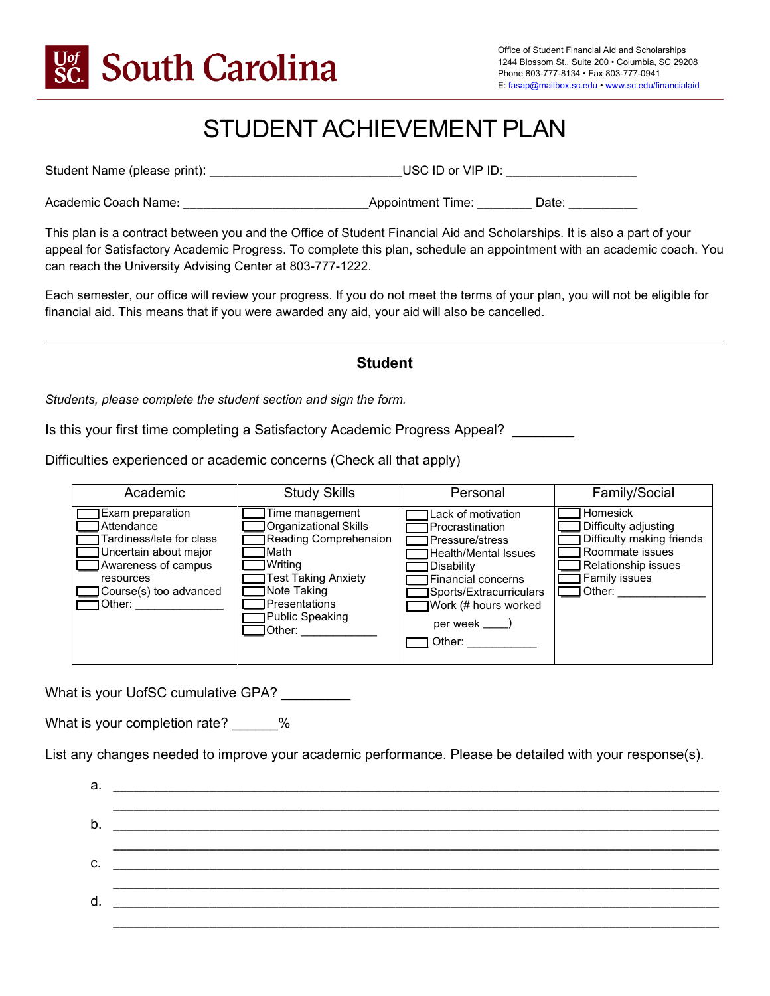

# STUDENT ACHIEVEMENT PLAN

Student Name (please print): \_\_\_\_\_\_\_\_\_\_\_\_\_\_\_\_\_\_\_\_\_\_\_\_\_\_\_\_USC ID or VIP ID: \_\_\_\_\_\_\_\_\_\_\_\_\_\_\_\_\_\_\_

Academic Coach Name: \_\_\_\_\_\_\_\_\_\_\_\_\_\_\_\_\_\_\_\_\_\_\_\_\_\_\_Appointment Time: \_\_\_\_\_\_\_\_ Date: \_\_\_\_\_\_\_\_\_\_

This plan is a contract between you and the Office of Student Financial Aid and Scholarships. It is also a part of your appeal for Satisfactory Academic Progress. To complete this plan, schedule an appointment with an academic coach. You can reach the University Advising Center at 803-777-1222.

Each semester, our office will review your progress. If you do not meet the terms of your plan, you will not be eligible for financial aid. This means that if you were awarded any aid, your aid will also be cancelled.

# **Student**

*Students, please complete the student section and sign the form.*

Is this your first time completing a Satisfactory Academic Progress Appeal?

Difficulties experienced or academic concerns (Check all that apply)

| Academic                                                                                                                                                    | <b>Study Skills</b>                                                                                                                                                       | Personal                                                                                                                                                                                                                 | Family/Social                                                                                                                        |
|-------------------------------------------------------------------------------------------------------------------------------------------------------------|---------------------------------------------------------------------------------------------------------------------------------------------------------------------------|--------------------------------------------------------------------------------------------------------------------------------------------------------------------------------------------------------------------------|--------------------------------------------------------------------------------------------------------------------------------------|
| Exam preparation<br>Attendance<br>Tardiness/late for class<br>Uncertain about major<br>Awareness of campus<br>resources<br>Course(s) too advanced<br>Other: | Time management<br>Organizational Skills<br>Reading Comprehension<br>Math<br>Writing<br>Test Taking Anxiety<br>Note Taking<br>Presentations<br>Public Speaking<br>∃Other: | <b>ILack of motivation</b><br>lProcrastination<br><b>IPressure/stress</b><br>Health/Mental Issues<br>Disability<br>l Financial concerns<br><b>B</b> ports/Extracurriculars<br>Work (# hours worked<br>per week<br>Other: | Homesick<br>Difficulty adjusting<br>Difficulty making friends<br>Roommate issues<br>Relationship issues<br>Family issues<br>l Other: |

What is your UofSC cumulative GPA?

What is your completion rate?  $\%$ 

List any changes needed to improve your academic performance. Please be detailed with your response(s).

| d. | the contract of the contract of the contract of the contract of the contract of |  |
|----|---------------------------------------------------------------------------------|--|
|    |                                                                                 |  |
|    |                                                                                 |  |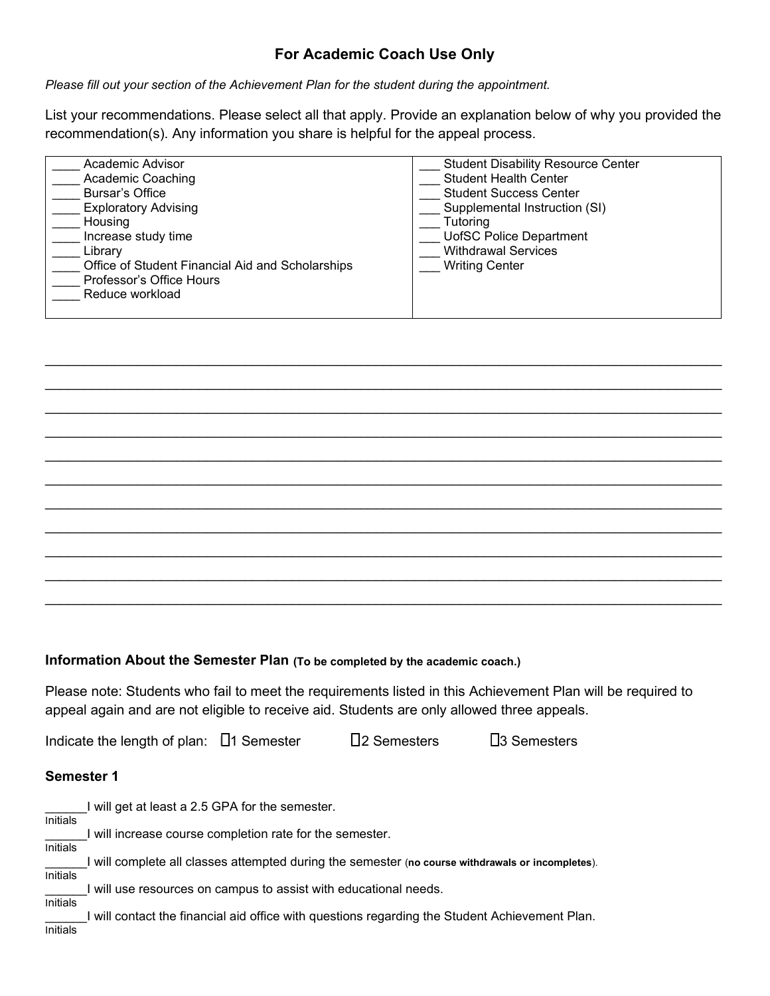# **For Academic Coach Use Only**

*Please fill out your section of the Achievement Plan for the student during the appointment.* 

List your recommendations. Please select all that apply. Provide an explanation below of why you provided the recommendation(s). Any information you share is helpful for the appeal process.

| Academic Advisor                                 | <b>Student Disability Resource Center</b> |
|--------------------------------------------------|-------------------------------------------|
| <b>Academic Coaching</b>                         | <b>Student Health Center</b>              |
| Bursar's Office                                  | <b>Student Success Center</b>             |
| <b>Exploratory Advising</b>                      | Supplemental Instruction (SI)             |
| Housing                                          | Tutoring                                  |
| Increase study time                              | <b>UofSC Police Department</b>            |
| Librarv                                          | <b>Withdrawal Services</b>                |
| Office of Student Financial Aid and Scholarships | <b>Writing Center</b>                     |
| Professor's Office Hours                         |                                           |
| Reduce workload                                  |                                           |
|                                                  |                                           |
|                                                  |                                           |

 $\_$  ,  $\_$  ,  $\_$  ,  $\_$  ,  $\_$  ,  $\_$  ,  $\_$  ,  $\_$  ,  $\_$  ,  $\_$  ,  $\_$  ,  $\_$  ,  $\_$  ,  $\_$  ,  $\_$  ,  $\_$  ,  $\_$  ,  $\_$  ,  $\_$  ,  $\_$  ,  $\_$  ,  $\_$  ,  $\_$  ,  $\_$  ,  $\_$  ,  $\_$  ,  $\_$  ,  $\_$  ,  $\_$  ,  $\_$  ,  $\_$  ,  $\_$  ,  $\_$  ,  $\_$  ,  $\_$  ,  $\_$  ,  $\_$  ,  $\_$  , and the set of the set of the set of the set of the set of the set of the set of the set of the set of the set of the set of the set of the set of the set of the set of the set of the set of the set of the set of th  $\_$  ,  $\_$  ,  $\_$  ,  $\_$  ,  $\_$  ,  $\_$  ,  $\_$  ,  $\_$  ,  $\_$  ,  $\_$  ,  $\_$  ,  $\_$  ,  $\_$  ,  $\_$  ,  $\_$  ,  $\_$  ,  $\_$  ,  $\_$  ,  $\_$  ,  $\_$  ,  $\_$  ,  $\_$  ,  $\_$  ,  $\_$  ,  $\_$  ,  $\_$  ,  $\_$  ,  $\_$  ,  $\_$  ,  $\_$  ,  $\_$  ,  $\_$  ,  $\_$  ,  $\_$  ,  $\_$  ,  $\_$  ,  $\_$  , \_\_\_\_\_\_\_\_\_\_\_\_\_\_\_\_\_\_\_\_\_\_\_\_\_\_\_\_\_\_\_\_\_\_\_\_\_\_\_\_\_\_\_\_\_\_\_\_\_\_\_\_\_\_\_\_\_\_\_\_\_\_\_\_\_\_\_\_\_\_\_\_\_\_\_\_\_\_\_\_\_\_\_\_\_\_\_\_  $\_$  , and the set of the set of the set of the set of the set of the set of the set of the set of the set of the set of the set of the set of the set of the set of the set of the set of the set of the set of the set of th  $\_$  ,  $\_$  ,  $\_$  ,  $\_$  ,  $\_$  ,  $\_$  ,  $\_$  ,  $\_$  ,  $\_$  ,  $\_$  ,  $\_$  ,  $\_$  ,  $\_$  ,  $\_$  ,  $\_$  ,  $\_$  ,  $\_$  ,  $\_$  ,  $\_$  ,  $\_$  ,  $\_$  ,  $\_$  ,  $\_$  ,  $\_$  ,  $\_$  ,  $\_$  ,  $\_$  ,  $\_$  ,  $\_$  ,  $\_$  ,  $\_$  ,  $\_$  ,  $\_$  ,  $\_$  ,  $\_$  ,  $\_$  ,  $\_$  ,  $\_$  , and the set of the set of the set of the set of the set of the set of the set of the set of the set of the set of the set of the set of the set of the set of the set of the set of the set of the set of the set of th  $\_$  ,  $\_$  ,  $\_$  ,  $\_$  ,  $\_$  ,  $\_$  ,  $\_$  ,  $\_$  ,  $\_$  ,  $\_$  ,  $\_$  ,  $\_$  ,  $\_$  ,  $\_$  ,  $\_$  ,  $\_$  ,  $\_$  ,  $\_$  ,  $\_$  ,  $\_$  ,  $\_$  ,  $\_$  ,  $\_$  ,  $\_$  ,  $\_$  ,  $\_$  ,  $\_$  ,  $\_$  ,  $\_$  ,  $\_$  ,  $\_$  ,  $\_$  ,  $\_$  ,  $\_$  ,  $\_$  ,  $\_$  ,  $\_$  ,  $\_$  , and the set of the set of the set of the set of the set of the set of the set of the set of the set of the set of the set of the set of the set of the set of the set of the set of the set of the set of the set of th  $\_$  ,  $\_$  ,  $\_$  ,  $\_$  ,  $\_$  ,  $\_$  ,  $\_$  ,  $\_$  ,  $\_$  ,  $\_$  ,  $\_$  ,  $\_$  ,  $\_$  ,  $\_$  ,  $\_$  ,  $\_$  ,  $\_$  ,  $\_$  ,  $\_$  ,  $\_$  ,  $\_$  ,  $\_$  ,  $\_$  ,  $\_$  ,  $\_$  ,  $\_$  ,  $\_$  ,  $\_$  ,  $\_$  ,  $\_$  ,  $\_$  ,  $\_$  ,  $\_$  ,  $\_$  ,  $\_$  ,  $\_$  ,  $\_$  ,  $\_$  , and the set of the set of the set of the set of the set of the set of the set of the set of the set of the set of the set of the set of the set of the set of the set of the set of the set of the set of the set of th

#### **Information About the Semester Plan (To be completed by the academic coach.)**

Please note: Students who fail to meet the requirements listed in this Achievement Plan will be required to appeal again and are not eligible to receive aid. Students are only allowed three appeals.

Indicate the length of plan:  $\Box$ 1 Semester  $\Box$ 2 Semesters  $\Box$ 3 Semesters

#### **Semester 1**

\_\_\_\_\_\_I will get at least a 2.5 GPA for the semester. Initials \_\_\_\_\_\_I will increase course completion rate for the semester. Initials \_\_\_\_\_\_I will complete all classes attempted during the semester (**no course withdrawals or incompletes**). Initials \_\_\_\_\_\_I will use resources on campus to assist with educational needs. Initials I will contact the financial aid office with questions regarding the Student Achievement Plan. Initials